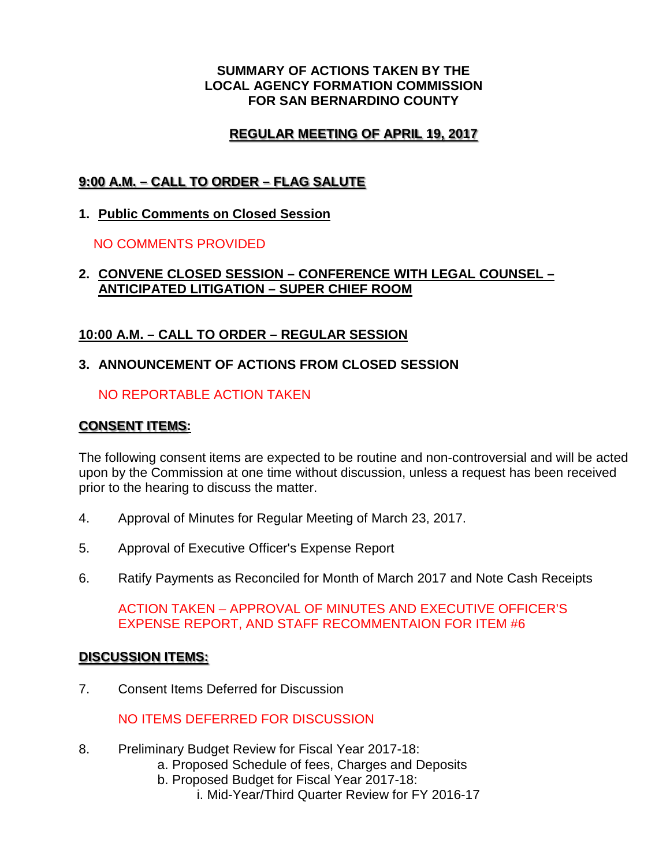#### **SUMMARY OF ACTIONS TAKEN BY THE LOCAL AGENCY FORMATION COMMISSION FOR SAN BERNARDINO COUNTY**

# **REGULAR MEETING OF APRIL 19, 2017**

# **9:00 A.M. – CALL TO ORDER – FLAG SALUTE**

**1. Public Comments on Closed Session**

NO COMMENTS PROVIDED

#### **2. CONVENE CLOSED SESSION – CONFERENCE WITH LEGAL COUNSEL – ANTICIPATED LITIGATION – SUPER CHIEF ROOM**

# **10:00 A.M. – CALL TO ORDER – REGULAR SESSION**

### **3. ANNOUNCEMENT OF ACTIONS FROM CLOSED SESSION**

### NO REPORTABLE ACTION TAKEN

### **CONSENT ITEMS:**

The following consent items are expected to be routine and non-controversial and will be acted upon by the Commission at one time without discussion, unless a request has been received prior to the hearing to discuss the matter.

- 4. Approval of Minutes for Regular Meeting of March 23, 2017.
- 5. Approval of Executive Officer's Expense Report
- 6. Ratify Payments as Reconciled for Month of March 2017 and Note Cash Receipts

ACTION TAKEN – APPROVAL OF MINUTES AND EXECUTIVE OFFICER'S EXPENSE REPORT, AND STAFF RECOMMENTAION FOR ITEM #6

# **DISCUSSION ITEMS:**

7. Consent Items Deferred for Discussion

NO ITEMS DEFERRED FOR DISCUSSION

- 8. Preliminary Budget Review for Fiscal Year 2017-18:
	- a. Proposed Schedule of fees, Charges and Deposits
	- b. Proposed Budget for Fiscal Year 2017-18:
		- i. Mid-Year/Third Quarter Review for FY 2016-17